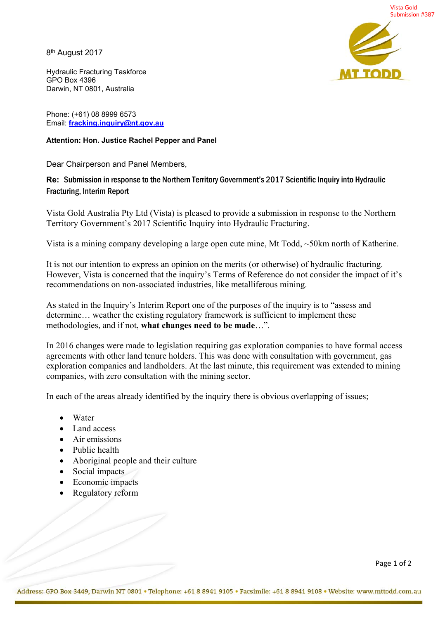Vista Gold Submission #387

8th August 2017

**TTODI** 

Hydraulic Fracturing Taskforce GPO Box 4396 Darwin, NT 0801, Australia

Phone: (+61) 08 8999 6573 Email: **fracking.inquiry@nt.gov.au**

## **Attention: Hon. Justice Rachel Pepper and Panel**

Dear Chairperson and Panel Members,

## **Re:** Submission in response to the Northern Territory Government's 2017 Scientific Inquiry into Hydraulic Fracturing, Interim Report

Vista Gold Australia Pty Ltd (Vista) is pleased to provide a submission in response to the Northern Territory Government's 2017 Scientific Inquiry into Hydraulic Fracturing.

Vista is a mining company developing a large open cute mine, Mt Todd, ~50km north of Katherine.

It is not our intention to express an opinion on the merits (or otherwise) of hydraulic fracturing. However, Vista is concerned that the inquiry's Terms of Reference do not consider the impact of it's recommendations on non-associated industries, like metalliferous mining.

As stated in the Inquiry's Interim Report one of the purposes of the inquiry is to "assess and determine… weather the existing regulatory framework is sufficient to implement these methodologies, and if not, **what changes need to be made**…".

In 2016 changes were made to legislation requiring gas exploration companies to have formal access agreements with other land tenure holders. This was done with consultation with government, gas exploration companies and landholders. At the last minute, this requirement was extended to mining companies, with zero consultation with the mining sector.

In each of the areas already identified by the inquiry there is obvious overlapping of issues;

- Water
- Land access
- Air emissions
- Public health
- Aboriginal people and their culture
- Social impacts
- Economic impacts
- Regulatory reform

Page 1 of 2